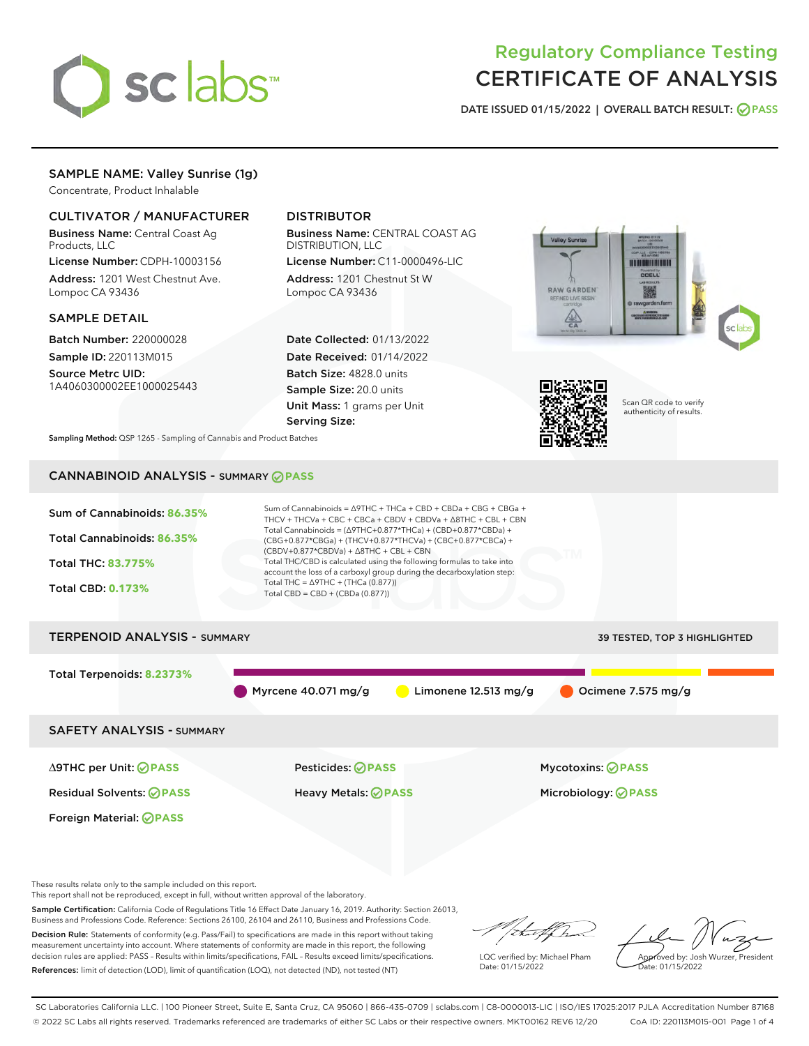

# Regulatory Compliance Testing CERTIFICATE OF ANALYSIS

DATE ISSUED 01/15/2022 | OVERALL BATCH RESULT: @ PASS

## SAMPLE NAME: Valley Sunrise (1g)

Concentrate, Product Inhalable

## CULTIVATOR / MANUFACTURER

Business Name: Central Coast Ag Products, LLC

License Number: CDPH-10003156 Address: 1201 West Chestnut Ave. Lompoc CA 93436

#### SAMPLE DETAIL

Batch Number: 220000028 Sample ID: 220113M015

Source Metrc UID: 1A4060300002EE1000025443

## DISTRIBUTOR

Business Name: CENTRAL COAST AG DISTRIBUTION, LLC

License Number: C11-0000496-LIC Address: 1201 Chestnut St W Lompoc CA 93436

Date Collected: 01/13/2022 Date Received: 01/14/2022 Batch Size: 4828.0 units Sample Size: 20.0 units Unit Mass: 1 grams per Unit Serving Size:





Scan QR code to verify authenticity of results.

Sampling Method: QSP 1265 - Sampling of Cannabis and Product Batches

## CANNABINOID ANALYSIS - SUMMARY **PASS**



Sample Certification: California Code of Regulations Title 16 Effect Date January 16, 2019. Authority: Section 26013, Business and Professions Code. Reference: Sections 26100, 26104 and 26110, Business and Professions Code. Decision Rule: Statements of conformity (e.g. Pass/Fail) to specifications are made in this report without taking

measurement uncertainty into account. Where statements of conformity are made in this report, the following decision rules are applied: PASS – Results within limits/specifications, FAIL – Results exceed limits/specifications. References: limit of detection (LOD), limit of quantification (LOQ), not detected (ND), not tested (NT)

that f ha

LQC verified by: Michael Pham Date: 01/15/2022

Approved by: Josh Wurzer, President ate: 01/15/2022

SC Laboratories California LLC. | 100 Pioneer Street, Suite E, Santa Cruz, CA 95060 | 866-435-0709 | sclabs.com | C8-0000013-LIC | ISO/IES 17025:2017 PJLA Accreditation Number 87168 © 2022 SC Labs all rights reserved. Trademarks referenced are trademarks of either SC Labs or their respective owners. MKT00162 REV6 12/20 CoA ID: 220113M015-001 Page 1 of 4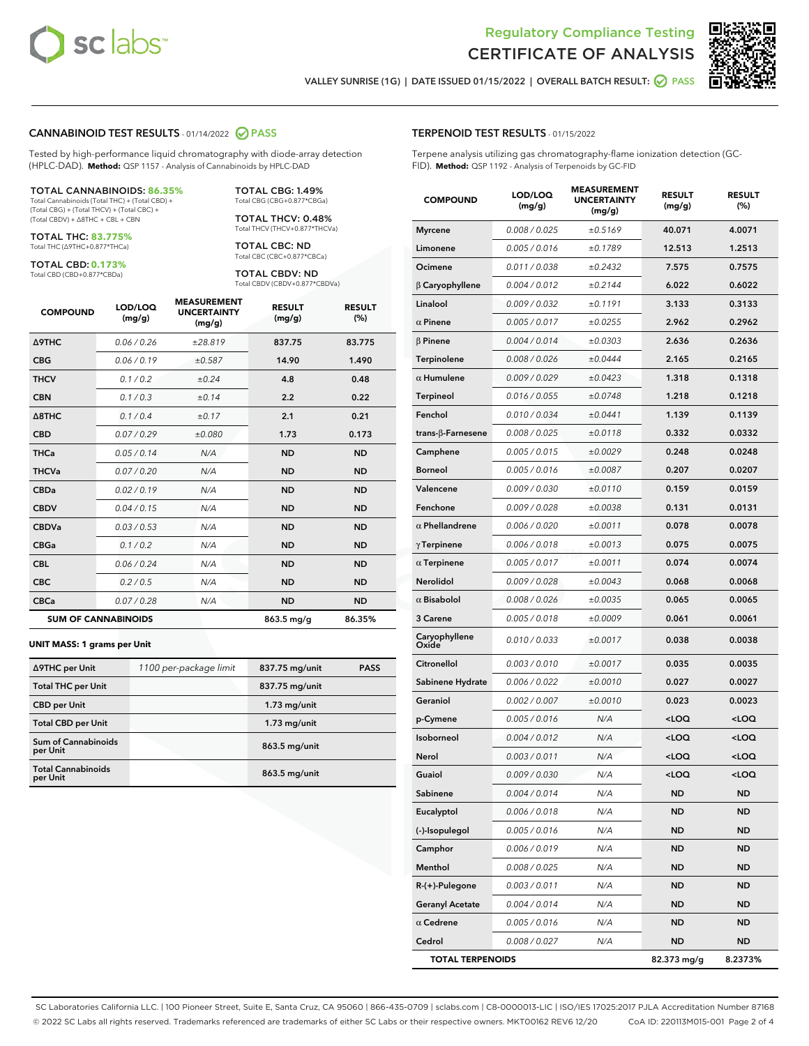



VALLEY SUNRISE (1G) | DATE ISSUED 01/15/2022 | OVERALL BATCH RESULT: @ PASS

#### CANNABINOID TEST RESULTS - 01/14/2022 2 PASS

Tested by high-performance liquid chromatography with diode-array detection (HPLC-DAD). **Method:** QSP 1157 - Analysis of Cannabinoids by HPLC-DAD

#### TOTAL CANNABINOIDS: **86.35%**

Total Cannabinoids (Total THC) + (Total CBD) + (Total CBG) + (Total THCV) + (Total CBC) + (Total CBDV) + ∆8THC + CBL + CBN

TOTAL THC: **83.775%** Total THC (∆9THC+0.877\*THCa)

TOTAL CBD: **0.173%**

Total CBD (CBD+0.877\*CBDa)

TOTAL CBG: 1.49% Total CBG (CBG+0.877\*CBGa)

TOTAL THCV: 0.48% Total THCV (THCV+0.877\*THCVa)

TOTAL CBC: ND Total CBC (CBC+0.877\*CBCa)

TOTAL CBDV: ND Total CBDV (CBDV+0.877\*CBDVa)

| <b>COMPOUND</b>  | LOD/LOQ<br>(mg/g)          | <b>MEASUREMENT</b><br><b>UNCERTAINTY</b><br>(mg/g) | <b>RESULT</b><br>(mg/g) | <b>RESULT</b><br>(%) |
|------------------|----------------------------|----------------------------------------------------|-------------------------|----------------------|
| <b>A9THC</b>     | 0.06 / 0.26                | ±28.819                                            | 837.75                  | 83.775               |
| <b>CBG</b>       | 0.06 / 0.19                | ±0.587                                             | 14.90                   | 1.490                |
| <b>THCV</b>      | 0.1 / 0.2                  | ±0.24                                              | 4.8                     | 0.48                 |
| <b>CBN</b>       | 0.1/0.3                    | ±0.14                                              | 2.2                     | 0.22                 |
| $\triangle$ 8THC | 0.1/0.4                    | ±0.17                                              | 2.1                     | 0.21                 |
| <b>CBD</b>       | 0.07/0.29                  | ±0.080                                             | 1.73                    | 0.173                |
| <b>THCa</b>      | 0.05/0.14                  | N/A                                                | <b>ND</b>               | <b>ND</b>            |
| <b>THCVa</b>     | 0.07/0.20                  | N/A                                                | <b>ND</b>               | <b>ND</b>            |
| <b>CBDa</b>      | 0.02/0.19                  | N/A                                                | <b>ND</b>               | <b>ND</b>            |
| <b>CBDV</b>      | 0.04 / 0.15                | N/A                                                | <b>ND</b>               | <b>ND</b>            |
| <b>CBDVa</b>     | 0.03/0.53                  | N/A                                                | <b>ND</b>               | <b>ND</b>            |
| <b>CBGa</b>      | 0.1 / 0.2                  | N/A                                                | <b>ND</b>               | <b>ND</b>            |
| <b>CBL</b>       | 0.06 / 0.24                | N/A                                                | <b>ND</b>               | <b>ND</b>            |
| <b>CBC</b>       | 0.2 / 0.5                  | N/A                                                | <b>ND</b>               | <b>ND</b>            |
| <b>CBCa</b>      | 0.07/0.28                  | N/A                                                | <b>ND</b>               | <b>ND</b>            |
|                  | <b>SUM OF CANNABINOIDS</b> |                                                    | 863.5 mg/g              | 86.35%               |

#### **UNIT MASS: 1 grams per Unit**

| ∆9THC per Unit                        | 1100 per-package limit | 837.75 mg/unit | <b>PASS</b> |
|---------------------------------------|------------------------|----------------|-------------|
| <b>Total THC per Unit</b>             |                        | 837.75 mg/unit |             |
| <b>CBD</b> per Unit                   |                        | $1.73$ mg/unit |             |
| <b>Total CBD per Unit</b>             |                        | $1.73$ mg/unit |             |
| Sum of Cannabinoids<br>per Unit       |                        | 863.5 mg/unit  |             |
| <b>Total Cannabinoids</b><br>per Unit |                        | 863.5 mg/unit  |             |

| <b>COMPOUND</b>        | LOD/LOQ<br>(mg/g) | <b>MEASUREMENT</b><br><b>UNCERTAINTY</b><br>(mg/g) | <b>RESULT</b><br>(mg/g)                         | <b>RESULT</b><br>(%) |
|------------------------|-------------------|----------------------------------------------------|-------------------------------------------------|----------------------|
| Myrcene                | 0.008 / 0.025     | ±0.5169                                            | 40.071                                          | 4.0071               |
| Limonene               | 0.005 / 0.016     | ±0.1789                                            | 12.513                                          | 1.2513               |
| Ocimene                | 0.011 / 0.038     | ±0.2432                                            | 7.575                                           | 0.7575               |
| $\beta$ Caryophyllene  | 0.004 / 0.012     | ±0.2144                                            | 6.022                                           | 0.6022               |
| Linalool               | 0.009 / 0.032     | ±0.1191                                            | 3.133                                           | 0.3133               |
| $\alpha$ Pinene        | 0.005 / 0.017     | ±0.0255                                            | 2.962                                           | 0.2962               |
| β Pinene               | 0.004 / 0.014     | ±0.0303                                            | 2.636                                           | 0.2636               |
| Terpinolene            | 0.008 / 0.026     | ±0.0444                                            | 2.165                                           | 0.2165               |
| $\alpha$ Humulene      | 0.009/0.029       | ±0.0423                                            | 1.318                                           | 0.1318               |
| Terpineol              | 0.016 / 0.055     | ±0.0748                                            | 1.218                                           | 0.1218               |
| Fenchol                | 0.010 / 0.034     | ±0.0441                                            | 1.139                                           | 0.1139               |
| trans-β-Farnesene      | 0.008 / 0.025     | ±0.0118                                            | 0.332                                           | 0.0332               |
| Camphene               | 0.005 / 0.015     | ±0.0029                                            | 0.248                                           | 0.0248               |
| Borneol                | 0.005 / 0.016     | ±0.0087                                            | 0.207                                           | 0.0207               |
| Valencene              | 0.009 / 0.030     | ±0.0110                                            | 0.159                                           | 0.0159               |
| Fenchone               | 0.009 / 0.028     | ±0.0038                                            | 0.131                                           | 0.0131               |
| $\alpha$ Phellandrene  | 0.006 / 0.020     | ±0.0011                                            | 0.078                                           | 0.0078               |
| γ Terpinene            | 0.006 / 0.018     | ±0.0013                                            | 0.075                                           | 0.0075               |
| $\alpha$ Terpinene     | 0.005 / 0.017     | ±0.0011                                            | 0.074                                           | 0.0074               |
| Nerolidol              | 0.009 / 0.028     | ±0.0043                                            | 0.068                                           | 0.0068               |
| $\alpha$ Bisabolol     | 0.008 / 0.026     | ±0.0035                                            | 0.065                                           | 0.0065               |
| <b>3 Carene</b>        | 0.005 / 0.018     | ±0.0009                                            | 0.061                                           | 0.0061               |
| Caryophyllene<br>Oxide | 0.010 / 0.033     | ±0.0017                                            | 0.038                                           | 0.0038               |
| Citronellol            | 0.003 / 0.010     | ±0.0017                                            | 0.035                                           | 0.0035               |
| Sabinene Hydrate       | 0.006 / 0.022     | ±0.0010                                            | 0.027                                           | 0.0027               |
| Geraniol               | 0.002 / 0.007     | ±0.0010                                            | 0.023                                           | 0.0023               |
| p-Cymene               | 0.005 / 0.016     | N/A                                                | <loq< th=""><th><loq< th=""></loq<></th></loq<> | <loq< th=""></loq<>  |
| Isoborneol             | 0.004 / 0.012     | N/A                                                | <loq< th=""><th><loq< th=""></loq<></th></loq<> | <loq< th=""></loq<>  |
| Nerol                  | 0.003 / 0.011     | N/A                                                | <loq< th=""><th><loq< th=""></loq<></th></loq<> | <loq< th=""></loq<>  |
| Guaiol                 | 0.009 / 0.030     | N/A                                                | <loq< th=""><th><loq< th=""></loq<></th></loq<> | <loq< th=""></loq<>  |
| Sabinene               | 0.004 / 0.014     | N/A                                                | <b>ND</b>                                       | ND                   |
| Eucalyptol             | 0.006 / 0.018     | N/A                                                | ND                                              | ND                   |
| (-)-Isopulegol         | 0.005 / 0.016     | N/A                                                | ND                                              | ND                   |
| Camphor                | 0.006 / 0.019     | N/A                                                | <b>ND</b>                                       | ND                   |
| Menthol                | 0.008 / 0.025     | N/A                                                | ND                                              | ND                   |
| R-(+)-Pulegone         | 0.003 / 0.011     | N/A                                                | ND                                              | ND                   |
| <b>Geranyl Acetate</b> | 0.004 / 0.014     | N/A                                                | <b>ND</b>                                       | ND                   |
| $\alpha$ Cedrene       | 0.005 / 0.016     | N/A                                                | ND                                              | ND                   |
| Cedrol                 | 0.008 / 0.027     | N/A                                                | <b>ND</b>                                       | ND                   |

TOTAL TERPENOIDS 82.373 mg/g 8.2373%

SC Laboratories California LLC. | 100 Pioneer Street, Suite E, Santa Cruz, CA 95060 | 866-435-0709 | sclabs.com | C8-0000013-LIC | ISO/IES 17025:2017 PJLA Accreditation Number 87168 © 2022 SC Labs all rights reserved. Trademarks referenced are trademarks of either SC Labs or their respective owners. MKT00162 REV6 12/20 CoA ID: 220113M015-001 Page 2 of 4

## TERPENOID TEST RESULTS - 01/15/2022

Terpene analysis utilizing gas chromatography-flame ionization detection (GC-FID). **Method:** QSP 1192 - Analysis of Terpenoids by GC-FID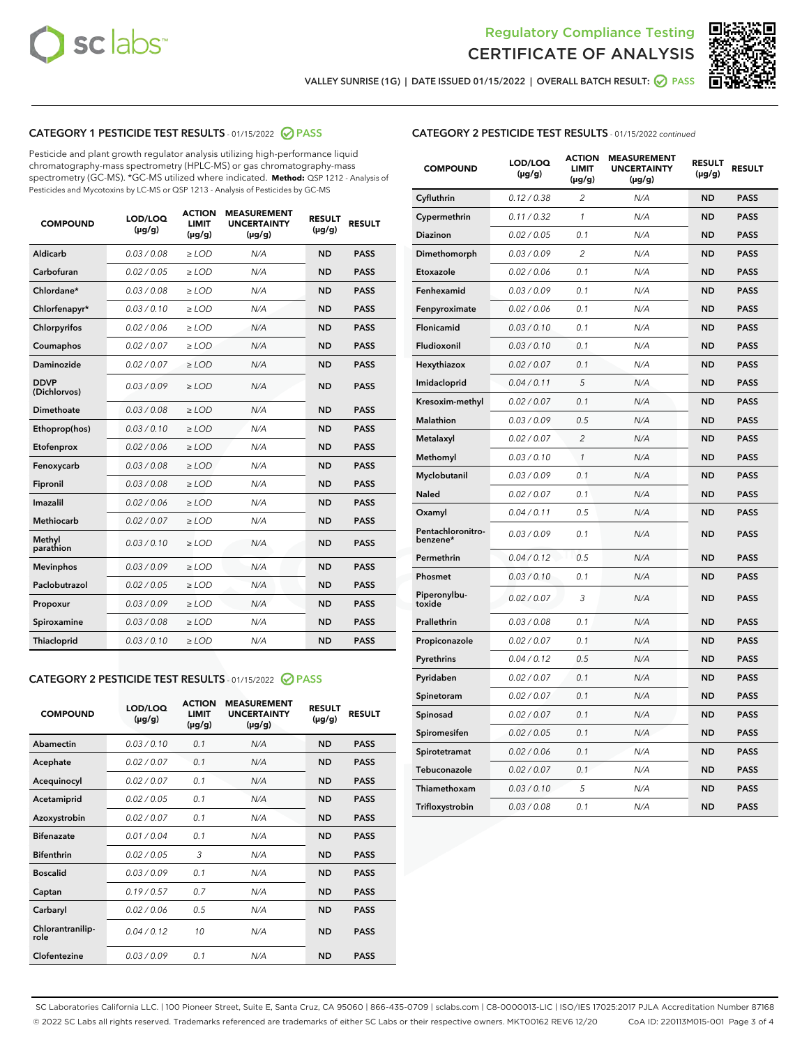



VALLEY SUNRISE (1G) | DATE ISSUED 01/15/2022 | OVERALL BATCH RESULT:  $\bigcirc$  PASS

## CATEGORY 1 PESTICIDE TEST RESULTS - 01/15/2022 2 PASS

Pesticide and plant growth regulator analysis utilizing high-performance liquid chromatography-mass spectrometry (HPLC-MS) or gas chromatography-mass spectrometry (GC-MS). \*GC-MS utilized where indicated. **Method:** QSP 1212 - Analysis of Pesticides and Mycotoxins by LC-MS or QSP 1213 - Analysis of Pesticides by GC-MS

| <b>COMPOUND</b>             | LOD/LOQ<br>$(\mu g/g)$ | <b>ACTION</b><br><b>LIMIT</b><br>$(\mu g/g)$ | <b>MEASUREMENT</b><br><b>UNCERTAINTY</b><br>$(\mu g/g)$ | <b>RESULT</b><br>$(\mu g/g)$ | <b>RESULT</b> |
|-----------------------------|------------------------|----------------------------------------------|---------------------------------------------------------|------------------------------|---------------|
| Aldicarb                    | 0.03 / 0.08            | $\ge$ LOD                                    | N/A                                                     | <b>ND</b>                    | <b>PASS</b>   |
| Carbofuran                  | 0.02/0.05              | $>$ LOD                                      | N/A                                                     | <b>ND</b>                    | <b>PASS</b>   |
| Chlordane*                  | 0.03 / 0.08            | $\ge$ LOD                                    | N/A                                                     | <b>ND</b>                    | <b>PASS</b>   |
| Chlorfenapyr*               | 0.03/0.10              | $\ge$ LOD                                    | N/A                                                     | <b>ND</b>                    | <b>PASS</b>   |
| Chlorpyrifos                | 0.02 / 0.06            | $\ge$ LOD                                    | N/A                                                     | <b>ND</b>                    | <b>PASS</b>   |
| Coumaphos                   | 0.02/0.07              | $>$ LOD                                      | N/A                                                     | <b>ND</b>                    | <b>PASS</b>   |
| <b>Daminozide</b>           | 0.02 / 0.07            | $\ge$ LOD                                    | N/A                                                     | <b>ND</b>                    | <b>PASS</b>   |
| <b>DDVP</b><br>(Dichlorvos) | 0.03/0.09              | $\ge$ LOD                                    | N/A                                                     | <b>ND</b>                    | <b>PASS</b>   |
| <b>Dimethoate</b>           | 0.03 / 0.08            | $\ge$ LOD                                    | N/A                                                     | <b>ND</b>                    | <b>PASS</b>   |
| Ethoprop(hos)               | 0.03/0.10              | $\ge$ LOD                                    | N/A                                                     | <b>ND</b>                    | <b>PASS</b>   |
| Etofenprox                  | 0.02 / 0.06            | $\ge$ LOD                                    | N/A                                                     | <b>ND</b>                    | <b>PASS</b>   |
| Fenoxycarb                  | 0.03 / 0.08            | $\ge$ LOD                                    | N/A                                                     | <b>ND</b>                    | <b>PASS</b>   |
| Fipronil                    | 0.03/0.08              | $>$ LOD                                      | N/A                                                     | <b>ND</b>                    | <b>PASS</b>   |
| Imazalil                    | 0.02 / 0.06            | $\ge$ LOD                                    | N/A                                                     | <b>ND</b>                    | <b>PASS</b>   |
| Methiocarb                  | 0.02 / 0.07            | $\ge$ LOD                                    | N/A                                                     | <b>ND</b>                    | <b>PASS</b>   |
| Methyl<br>parathion         | 0.03/0.10              | $>$ LOD                                      | N/A                                                     | <b>ND</b>                    | <b>PASS</b>   |
| <b>Mevinphos</b>            | 0.03/0.09              | $>$ LOD                                      | N/A                                                     | <b>ND</b>                    | <b>PASS</b>   |
| Paclobutrazol               | 0.02 / 0.05            | $\ge$ LOD                                    | N/A                                                     | <b>ND</b>                    | <b>PASS</b>   |
| Propoxur                    | 0.03/0.09              | $>$ LOD                                      | N/A                                                     | <b>ND</b>                    | <b>PASS</b>   |
| Spiroxamine                 | 0.03 / 0.08            | $\ge$ LOD                                    | N/A                                                     | <b>ND</b>                    | <b>PASS</b>   |
| Thiacloprid                 | 0.03/0.10              | $\ge$ LOD                                    | N/A                                                     | <b>ND</b>                    | <b>PASS</b>   |

#### CATEGORY 2 PESTICIDE TEST RESULTS - 01/15/2022 2 PASS

| <b>COMPOUND</b>          | LOD/LOO<br>$(\mu g/g)$ | <b>ACTION</b><br>LIMIT<br>$(\mu g/g)$ | <b>MEASUREMENT</b><br><b>UNCERTAINTY</b><br>$(\mu g/g)$ | <b>RESULT</b><br>$(\mu g/g)$ | <b>RESULT</b> |  |
|--------------------------|------------------------|---------------------------------------|---------------------------------------------------------|------------------------------|---------------|--|
| Abamectin                | 0.03/0.10              | 0.1                                   | N/A                                                     | <b>ND</b>                    | <b>PASS</b>   |  |
| Acephate                 | 0.02/0.07              | 0.1                                   | N/A                                                     | <b>ND</b>                    | <b>PASS</b>   |  |
| Acequinocyl              | 0.02/0.07              | 0.1                                   | N/A                                                     | <b>ND</b>                    | <b>PASS</b>   |  |
| Acetamiprid              | 0.02 / 0.05            | 0.1                                   | N/A                                                     | <b>ND</b>                    | <b>PASS</b>   |  |
| Azoxystrobin             | 0.02/0.07              | 0.1                                   | N/A                                                     | <b>ND</b>                    | <b>PASS</b>   |  |
| <b>Bifenazate</b>        | 0.01 / 0.04            | 0.1                                   | N/A                                                     | <b>ND</b>                    | <b>PASS</b>   |  |
| <b>Bifenthrin</b>        | 0.02 / 0.05            | 3                                     | N/A                                                     | <b>ND</b>                    | <b>PASS</b>   |  |
| <b>Boscalid</b>          | 0.03/0.09              | 0.1                                   | N/A                                                     | <b>ND</b>                    | <b>PASS</b>   |  |
| Captan                   | 0.19/0.57              | 0.7                                   | N/A                                                     | <b>ND</b>                    | <b>PASS</b>   |  |
| Carbaryl                 | 0.02/0.06              | 0.5                                   | N/A                                                     | <b>ND</b>                    | <b>PASS</b>   |  |
| Chlorantranilip-<br>role | 0.04/0.12              | 10                                    | N/A                                                     | <b>ND</b>                    | <b>PASS</b>   |  |
| Clofentezine             | 0.03/0.09              | 0.1                                   | N/A                                                     | <b>ND</b>                    | <b>PASS</b>   |  |

| <b>CATEGORY 2 PESTICIDE TEST RESULTS</b> - 01/15/2022 continued |  |  |  |  |  |
|-----------------------------------------------------------------|--|--|--|--|--|
|-----------------------------------------------------------------|--|--|--|--|--|

| <b>COMPOUND</b>               | LOD/LOQ<br>(µg/g) | <b>ACTION</b><br><b>LIMIT</b><br>$(\mu g/g)$ | <b>MEASUREMENT</b><br><b>UNCERTAINTY</b><br>$(\mu g/g)$ | <b>RESULT</b><br>(µg/g) | <b>RESULT</b> |
|-------------------------------|-------------------|----------------------------------------------|---------------------------------------------------------|-------------------------|---------------|
| Cyfluthrin                    | 0.12 / 0.38       | 2                                            | N/A                                                     | ND                      | <b>PASS</b>   |
| Cypermethrin                  | 0.11 / 0.32       | $\mathbf{1}$                                 | N/A                                                     | ND                      | <b>PASS</b>   |
| Diazinon                      | 0.02 / 0.05       | 0.1                                          | N/A                                                     | ND                      | PASS          |
| Dimethomorph                  | 0.03 / 0.09       | $\overline{2}$                               | N/A                                                     | <b>ND</b>               | <b>PASS</b>   |
| Etoxazole                     | 0.02 / 0.06       | 0.1                                          | N/A                                                     | ND                      | <b>PASS</b>   |
| Fenhexamid                    | 0.03 / 0.09       | 0.1                                          | N/A                                                     | ND                      | <b>PASS</b>   |
| Fenpyroximate                 | 0.02 / 0.06       | 0.1                                          | N/A                                                     | <b>ND</b>               | <b>PASS</b>   |
| Flonicamid                    | 0.03 / 0.10       | 0.1                                          | N/A                                                     | ND                      | <b>PASS</b>   |
| Fludioxonil                   | 0.03 / 0.10       | 0.1                                          | N/A                                                     | ND                      | <b>PASS</b>   |
| Hexythiazox                   | 0.02 / 0.07       | 0.1                                          | N/A                                                     | <b>ND</b>               | <b>PASS</b>   |
| Imidacloprid                  | 0.04 / 0.11       | 5                                            | N/A                                                     | <b>ND</b>               | <b>PASS</b>   |
| Kresoxim-methyl               | 0.02 / 0.07       | 0.1                                          | N/A                                                     | <b>ND</b>               | <b>PASS</b>   |
| <b>Malathion</b>              | 0.03 / 0.09       | 0.5                                          | N/A                                                     | ND                      | <b>PASS</b>   |
| Metalaxyl                     | 0.02 / 0.07       | $\overline{2}$                               | N/A                                                     | <b>ND</b>               | <b>PASS</b>   |
| Methomyl                      | 0.03 / 0.10       | 1                                            | N/A                                                     | <b>ND</b>               | <b>PASS</b>   |
| Myclobutanil                  | 0.03 / 0.09       | 0.1                                          | N/A                                                     | ND                      | <b>PASS</b>   |
| <b>Naled</b>                  | 0.02 / 0.07       | 0.1                                          | N/A                                                     | ND                      | <b>PASS</b>   |
| Oxamyl                        | 0.04 / 0.11       | 0.5                                          | N/A                                                     | <b>ND</b>               | <b>PASS</b>   |
| Pentachloronitro-<br>benzene* | 0.03/0.09         | 0.1                                          | N/A                                                     | ND                      | <b>PASS</b>   |
| Permethrin                    | 0.04 / 0.12       | 0.5                                          | N/A                                                     | ND                      | <b>PASS</b>   |
| Phosmet                       | 0.03/0.10         | 0.1                                          | N/A                                                     | ND                      | <b>PASS</b>   |
| Piperonylbu-<br>toxide        | 0.02 / 0.07       | 3                                            | N/A                                                     | <b>ND</b>               | <b>PASS</b>   |
| Prallethrin                   | 0.03 / 0.08       | 0.1                                          | N/A                                                     | <b>ND</b>               | <b>PASS</b>   |
| Propiconazole                 | 0.02 / 0.07       | 0.1                                          | N/A                                                     | ND                      | <b>PASS</b>   |
| Pyrethrins                    | 0.04 / 0.12       | 0.5                                          | N/A                                                     | ND                      | PASS          |
| Pyridaben                     | 0.02 / 0.07       | 0.1                                          | N/A                                                     | <b>ND</b>               | <b>PASS</b>   |
| Spinetoram                    | 0.02 / 0.07       | 0.1                                          | N/A                                                     | ND                      | <b>PASS</b>   |
| Spinosad                      | 0.02 / 0.07       | 0.1                                          | N/A                                                     | ND                      | <b>PASS</b>   |
| Spiromesifen                  | 0.02 / 0.05       | 0.1                                          | N/A                                                     | <b>ND</b>               | <b>PASS</b>   |
| Spirotetramat                 | 0.02 / 0.06       | 0.1                                          | N/A                                                     | ND                      | <b>PASS</b>   |
| Tebuconazole                  | 0.02 / 0.07       | 0.1                                          | N/A                                                     | ND                      | <b>PASS</b>   |
| Thiamethoxam                  | 0.03 / 0.10       | 5                                            | N/A                                                     | ND                      | <b>PASS</b>   |
| Trifloxystrobin               | 0.03 / 0.08       | 0.1                                          | N/A                                                     | <b>ND</b>               | <b>PASS</b>   |

SC Laboratories California LLC. | 100 Pioneer Street, Suite E, Santa Cruz, CA 95060 | 866-435-0709 | sclabs.com | C8-0000013-LIC | ISO/IES 17025:2017 PJLA Accreditation Number 87168 © 2022 SC Labs all rights reserved. Trademarks referenced are trademarks of either SC Labs or their respective owners. MKT00162 REV6 12/20 CoA ID: 220113M015-001 Page 3 of 4